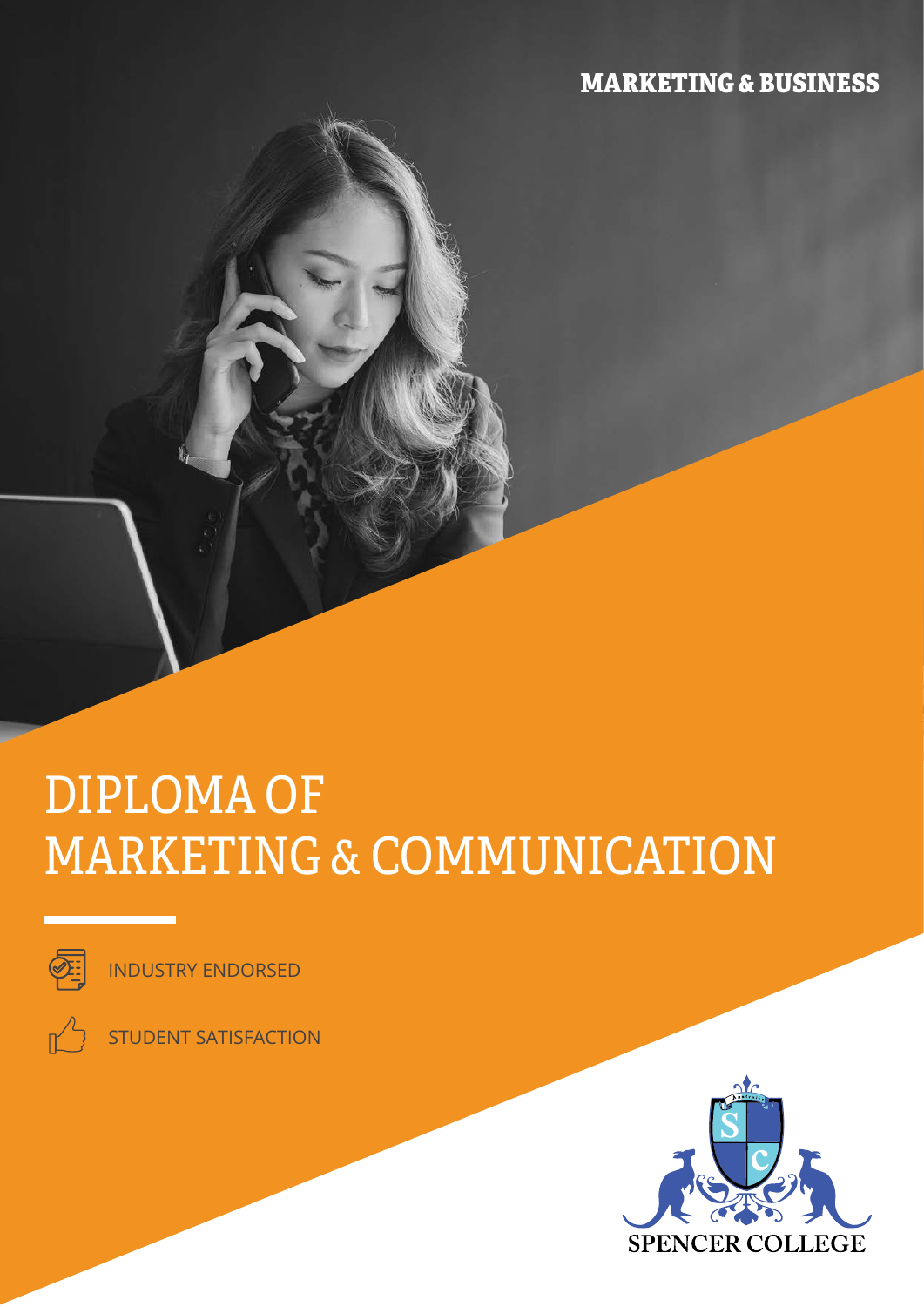## MARKETING & BUSINESS

# DIPLOMA OF MARKETING & COMMUNICATION



INDUSTRY ENDORSED

STUDENT SATISFACTION